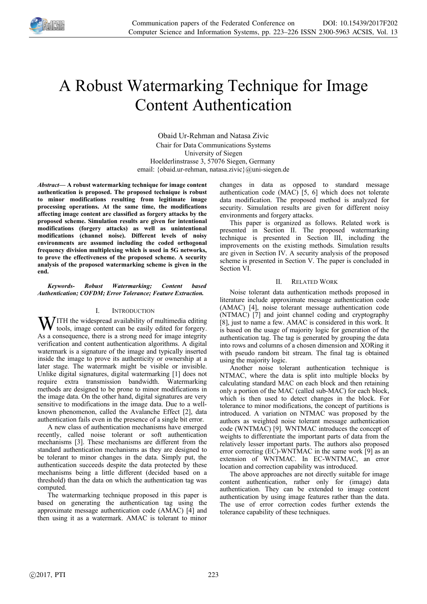

# A Robust Watermarking Technique for Image Content Authentication

Obaid Ur-Rehman and Natasa Zivic Chair for Data Communications Systems University of Siegen Hoelderlinstrasse 3, 57076 Siegen, Germany email: {obaid.ur-rehman, natasa.zivic}@uni-siegen.de

*Abstract***— A robust watermarking technique for image content authentication is proposed. The proposed technique is robust to minor modifications resulting from legitimate image processing operations. At the same time, the modifications affecting image content are classified as forgery attacks by the proposed scheme. Simulation results are given for intentional modifications (forgery attacks) as well as unintentional modifications (channel noise). Different levels of noisy environments are assumed including the coded orthogonal frequency division multiplexing which is used in 5G networks, to prove the effectiveness of the proposed scheme. A security analysis of the proposed watermarking scheme is given in the end.**

## *Keywords- Robust Watermarking; Content based Authentication; COFDM; Error Tolerance; Feature Extraction.*

# I. INTRODUCTION

**W** ITH the widespread availability of multimedia editing<br>tools, image content can be easily edited for forgery. tools, image content can be easily edited for forgery. As a consequence, there is a strong need for image integrity verification and content authentication algorithms. A digital watermark is a signature of the image and typically inserted inside the image to prove its authenticity or ownership at a later stage. The watermark might be visible or invisible. Unlike digital signatures, digital watermarking [1] does not require extra transmission bandwidth. Watermarking methods are designed to be prone to minor modifications in the image data. On the other hand, digital signatures are very sensitive to modifications in the image data. Due to a wellknown phenomenon, called the Avalanche Effect [2], data authentication fails even in the presence of a single bit error.

A new class of authentication mechanisms have emerged recently, called noise tolerant or soft authentication mechanisms [3]. These mechanisms are different from the standard authentication mechanisms as they are designed to be tolerant to minor changes in the data. Simply put, the authentication succeeds despite the data protected by these mechanisms being a little different (decided based on a threshold) than the data on which the authentication tag was computed.

The watermarking technique proposed in this paper is based on generating the authentication tag using the approximate message authentication code (AMAC) [4] and then using it as a watermark. AMAC is tolerant to minor

changes in data as opposed to standard message authentication code (MAC) [5, 6] which does not tolerate data modification. The proposed method is analyzed for security. Simulation results are given for different noisy environments and forgery attacks.

This paper is organized as follows. Related work is presented in Section II. The proposed watermarking technique is presented in Section III, including the improvements on the existing methods. Simulation results are given in Section IV. A security analysis of the proposed scheme is presented in Section V. The paper is concluded in Section VI.

# II. RELATED WORK

Noise tolerant data authentication methods proposed in literature include approximate message authentication code (AMAC) [4], noise tolerant message authentication code (NTMAC) [7] and joint channel coding and cryptography [8], just to name a few. AMAC is considered in this work. It is based on the usage of majority logic for generation of the authentication tag. The tag is generated by grouping the data into rows and columns of a chosen dimension and XORing it with pseudo random bit stream. The final tag is obtained using the majority logic.

Another noise tolerant authentication technique is NTMAC, where the data is split into multiple blocks by calculating standard MAC on each block and then retaining only a portion of the MAC (called sub-MAC) for each block, which is then used to detect changes in the block. For tolerance to minor modifications, the concept of partitions is introduced. A variation on NTMAC was proposed by the authors as weighted noise tolerant message authentication code (WNTMAC) [9]. WNTMAC introduces the concept of weights to differentiate the important parts of data from the relatively lesser important parts. The authors also proposed error correcting (EC)-WNTMAC in the same work [9] as an extension of WNTMAC. In EC-WNTMAC, an error location and correction capability was introduced.

The above approaches are not directly suitable for image content authentication, rather only for (image) data authentication. They can be extended to image content authentication by using image features rather than the data. The use of error correction codes further extends the tolerance capability of these techniques.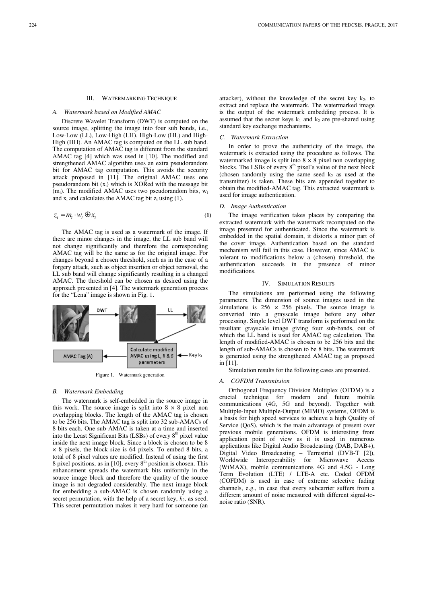## III. WATERMARKING TECHNIQUE

## *A. Watermark based on Modified AMAC*

Discrete Wavelet Transform (DWT) is computed on the source image, splitting the image into four sub bands, i.e., Low-Low (LL), Low-High (LH), High-Low (HL) and High-High (HH). An AMAC tag is computed on the LL sub band. The computation of AMAC tag is different from the standard AMAC tag [4] which was used in [10]. The modified and strengthened AMAC algorithm uses an extra pseudorandom bit for AMAC tag computation. This avoids the security attack proposed in [11]. The original AMAC uses one pseudorandom bit  $(x_i)$  which is XORed with the message bit  $(m_i)$ . The modified AMAC uses two pseudorandom bits,  $w_i$ and  $x_i$  and calculates the AMAC tag bit  $z_i$  using (1).

$$
z_i = m_i \cdot w_i \oplus x_i \tag{1}
$$

The AMAC tag is used as a watermark of the image. If there are minor changes in the image, the LL sub band will not change significantly and therefore the corresponding AMAC tag will be the same as for the original image. For changes beyond a chosen threshold, such as in the case of a forgery attack, such as object insertion or object removal, the LL sub band will change significantly resulting in a changed AMAC. The threshold can be chosen as desired using the approach presented in [4]. The watermark generation process for the "Lena" image is shown in Fig. 1.



Figure 1. Watermark generation

#### *B. Watermark Embedding*

The watermark is self-embedded in the source image in this work. The source image is split into  $8 \times 8$  pixel non overlapping blocks. The length of the AMAC tag is chosen to be 256 bits. The AMAC tag is split into 32 sub-AMACs of 8 bits each. One sub-AMAC is taken at a time and inserted into the Least Significant Bits (LSBs) of every  $8<sup>th</sup>$  pixel value inside the next image block. Since a block is chosen to be 8 × 8 pixels, the block size is 64 pixels. To embed 8 bits, a total of 8 pixel values are modified. Instead of using the first 8 pixel positions, as in [10], every  $8<sup>th</sup>$  position is chosen. This enhancement spreads the watermark bits uniformly in the source image block and therefore the quality of the source image is not degraded considerably. The next image block for embedding a sub-AMAC is chosen randomly using a secret permutation, with the help of a secret key, *k2*, as seed. This secret permutation makes it very hard for someone (an attacker), without the knowledge of the secret key  $k_2$ , to extract and replace the watermark. The watermarked image is the output of the watermark embedding process. It is assumed that the secret keys  $k_1$  and  $k_2$  are pre-shared using standard key exchange mechanisms.

## *C. Watermark Extraction*

In order to prove the authenticity of the image, the watermark is extracted using the procedure as follows. The watermarked image is split into  $8 \times 8$  pixel non overlapping blocks. The LSBs of every 8<sup>th</sup> pixel's value of the next block (chosen randomly using the same seed  $k_2$  as used at the transmitter) is taken. These bits are appended together to obtain the modified-AMAC tag. This extracted watermark is used for image authentication.

#### *D. Image Authentication*

The image verification takes places by comparing the extracted watermark with the watermark recomputed on the image presented for authenticated. Since the watermark is embedded in the spatial domain, it distorts a minor part of the cover image. Authentication based on the standard mechanism will fail in this case. However, since AMAC is tolerant to modifications below a (chosen) threshold, the authentication succeeds in the presence of minor modifications.

#### IV. SIMULATION RESULTS

The simulations are performed using the following parameters. The dimension of source images used in the simulations is  $256 \times 256$  pixels. The source image is converted into a grayscale image before any other processing. Single level DWT transform is performed on the resultant grayscale image giving four sub-bands, out of which the LL band is used for AMAC tag calculation. The length of modified-AMAC is chosen to be 256 bits and the length of sub-AMACs is chosen to be 8 bits. The watermark is generated using the strengthened AMAC tag as proposed in [11].

Simulation results for the following cases are presented.

#### *A. COFDM Transmission*

Orthogonal Frequency Division Multiplex (OFDM) is a crucial technique for modern and future mobile communications (4G, 5G and beyond). Together with Multiple-Input Multiple-Output (MIMO) systems, OFDM is a basis for high speed services to achieve a high Quality of Service (QoS), which is the main advantage of present over previous mobile generations. OFDM is interesting from application point of view as it is used in numerous applications like Digital Audio Broadcasting (DAB, DAB+), Digital Video Broadcasting – Terrestrial (DVB-T [2]), Worldwide Interoperability for Microwave Access (WiMAX), mobile communications 4G and 4.5G - Long Term Evolution (LTE) / LTE-A etc. Coded OFDM (COFDM) is used in case of extreme selective fading channels, e.g., in case that every subcarrier suffers from a different amount of noise measured with different signal-tonoise ratio (SNR).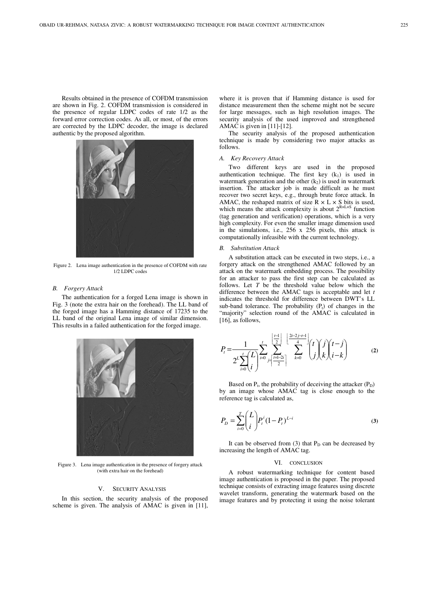Results obtained in the presence of COFDM transmission are shown in Fig. 2. COFDM transmission is considered in the presence of regular LDPC codes of rate 1/2 as the forward error correction codes. As all, or most, of the errors are corrected by the LDPC decoder, the image is declared authentic by the proposed algorithm.



Figure 2. Lena image authentication in the presence of COFDM with rate 1/2 LDPC codes

## *B. Forgery Attack*

The authentication for a forged Lena image is shown in Fig. 3 (note the extra hair on the forehead). The LL band of the forged image has a Hamming distance of 17235 to the LL band of the original Lena image of similar dimension. This results in a failed authentication for the forged image.



Figure 3. Lena image authentication in the presence of forgery attack (with extra hair on the forehead)

#### V. SECURITY ANALYSIS

In this section, the security analysis of the proposed scheme is given. The analysis of AMAC is given in [11], where it is proven that if Hamming distance is used for distance measurement then the scheme might not be secure for large messages, such as high resolution images. The security analysis of the used improved and strengthened AMAC is given in [11]-[12].

The security analysis of the proposed authentication technique is made by considering two major attacks as follows.

#### *A. Key Recovery Attack*

Two different keys are used in the proposed authentication technique. The first key  $(k_1)$  is used in watermark generation and the other  $(k_2)$  is used in watermark insertion. The attacker job is made difficult as he must recover two secret keys, e.g., through brute force attack. In AMAC, the reshaped matrix of size  $R \times L \times S$  bits is used, which means the attack complexity is about  $2^{R \times L \times S}$  function (tag generation and verification) operations, which is a very high complexity. For even the smaller image dimension used in the simulations, i.e., 256 x 256 pixels, this attack is computationally infeasible with the current technology.

## *B. Substitution Attack*

A substitution attack can be executed in two steps, i.e., a forgery attack on the strengthened AMAC followed by an attack on the watermark embedding process. The possibility for an attacker to pass the first step can be calculated as follows. Let *T* be the threshold value below which the difference between the AMAC tags is acceptable and let *t* indicates the threshold for difference between DWT's LL sub-band tolerance. The probability  $(P_t)$  of changes in the "majority" selection round of the AMAC is calculated in [16], as follows,

$$
P_{t} = \frac{1}{2^{L} \sum_{i=0}^{t} L} \sum_{j=0}^{t} \sum_{j=\lceil \frac{t+1-2j}{2} \rceil}^{\lceil \frac{t-1}{2} \rceil} \sum_{k=0}^{\lceil \frac{t+2j-t-1}{4} \rceil} \binom{t}{j} \binom{j}{k} \binom{t-j}{i-k}
$$
(2)

Based on  $P_t$ , the probability of deceiving the attacker  $(P_D)$ by an image whose AMAC tag is close enough to the reference tag is calculated as,

$$
P_D = \sum_{i=0}^{T} \binom{L}{i} P_i^i (1 - P_i)^{L-i}
$$
 (3)

It can be observed from  $(3)$  that  $P_D$  can be decreased by increasing the length of AMAC tag.

#### VI. CONCLUSION

A robust watermarking technique for content based image authentication is proposed in the paper. The proposed technique consists of extracting image features using discrete wavelet transform, generating the watermark based on the image features and by protecting it using the noise tolerant